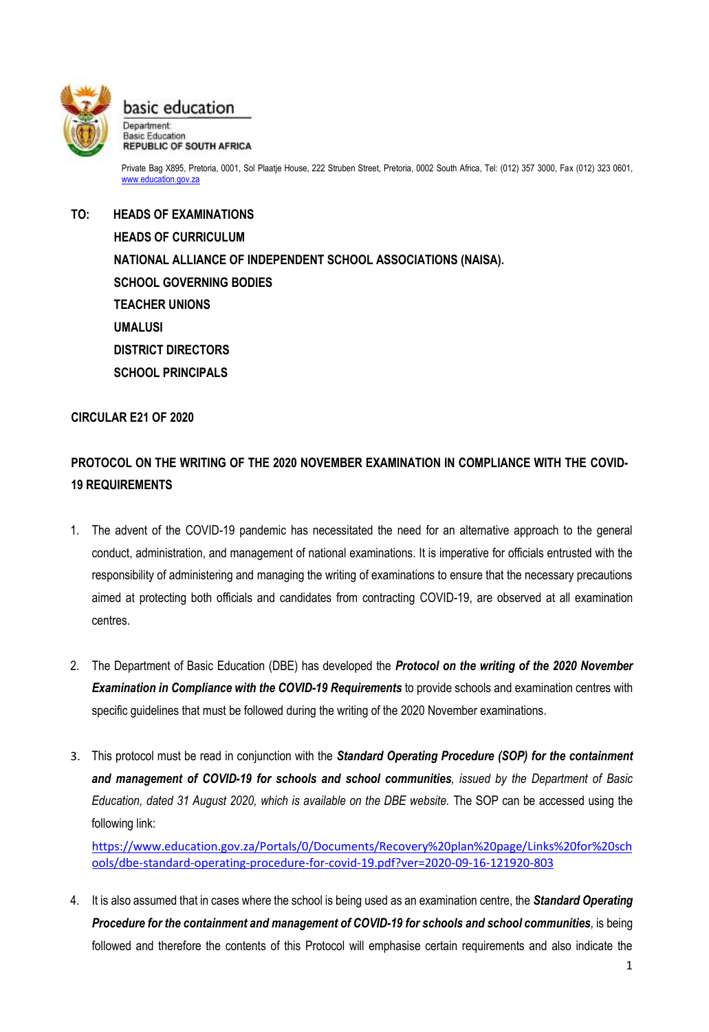

basic education Department: Basic Education

**REPUBLIC OF SOUTH AFRICA** 

Private Bag X895, Pretoria, 0001, Sol Plaatje House, 222 Struben Street, Pretoria, 0002 South Africa, Tel: (012) 357 3000, Fax (012) 323 0601, [www.education.gov.za](http://www.education.gov.za/)

**TO: HEADS OF EXAMINATIONS HEADS OF CURRICULUM NATIONAL ALLIANCE OF INDEPENDENT SCHOOL ASSOCIATIONS (NAISA). SCHOOL GOVERNING BODIES TEACHER UNIONS UMALUSI DISTRICT DIRECTORS SCHOOL PRINCIPALS**

## **CIRCULAR E21 OF 2020**

## **PROTOCOL ON THE WRITING OF THE 2020 NOVEMBER EXAMINATION IN COMPLIANCE WITH THE COVID-19 REQUIREMENTS**

- 1. The advent of the COVID-19 pandemic has necessitated the need for an alternative approach to the general conduct, administration, and management of national examinations. It is imperative for officials entrusted with the responsibility of administering and managing the writing of examinations to ensure that the necessary precautions aimed at protecting both officials and candidates from contracting COVID-19, are observed at all examination centres.
- 2. The Department of Basic Education (DBE) has developed the *Protocol on the writing of the 2020 November Examination in Compliance with the COVID-19 Requirements* to provide schools and examination centres with specific guidelines that must be followed during the writing of the 2020 November examinations.
- 3. This protocol must be read in conjunction with the *Standard Operating Procedure (SOP) for the containment and management of COVID-19 for schools and school communities, issued by the Department of Basic Education, dated 31 August 2020, which is available on the DBE website.* The SOP can be accessed using the following link:

[https://www.education.gov.za/Portals/0/Documents/Recovery%20plan%20page/Links%20for%20sch](https://www.education.gov.za/Portals/0/Documents/Recovery%20plan%20page/Links%20for%20schools/dbe-standard-operating-procedure-for-covid-19.pdf?ver=2020-09-16-121920-803) [ools/dbe-standard-operating-procedure-for-covid-19.pdf?ver=2020-09-16-121920-803](https://www.education.gov.za/Portals/0/Documents/Recovery%20plan%20page/Links%20for%20schools/dbe-standard-operating-procedure-for-covid-19.pdf?ver=2020-09-16-121920-803)

4. It is also assumed that in cases where the school is being used as an examination centre, the *Standard Operating Procedure for the containment and management of COVID-19 for schools and school communities,* is being followed and therefore the contents of this Protocol will emphasise certain requirements and also indicate the